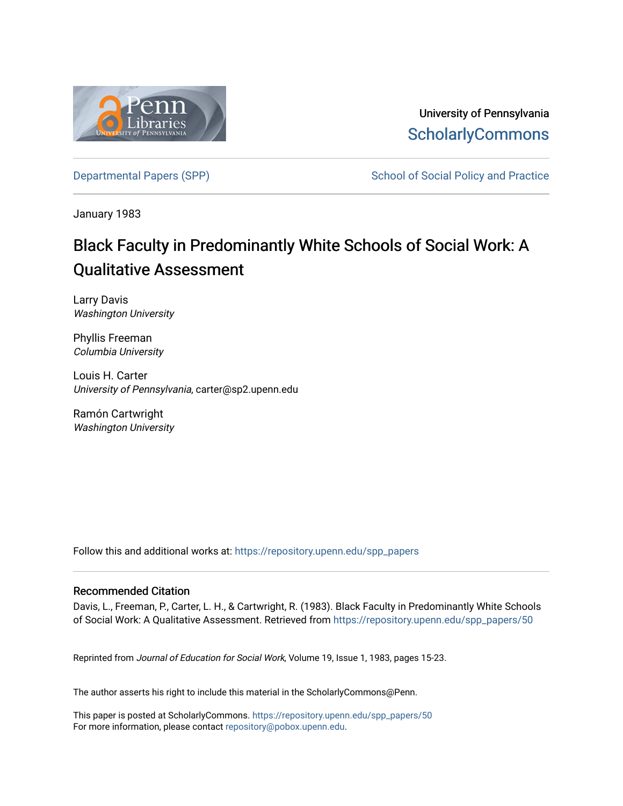

University of Pennsylvania **ScholarlyCommons** 

[Departmental Papers \(SPP\)](https://repository.upenn.edu/spp_papers) School of Social Policy and Practice

January 1983

# Black Faculty in Predominantly White Schools of Social Work: A Qualitative Assessment

Larry Davis Washington University

Phyllis Freeman Columbia University

Louis H. Carter University of Pennsylvania, carter@sp2.upenn.edu

Ramón Cartwright Washington University

Follow this and additional works at: [https://repository.upenn.edu/spp\\_papers](https://repository.upenn.edu/spp_papers?utm_source=repository.upenn.edu%2Fspp_papers%2F50&utm_medium=PDF&utm_campaign=PDFCoverPages) 

### Recommended Citation

Davis, L., Freeman, P., Carter, L. H., & Cartwright, R. (1983). Black Faculty in Predominantly White Schools of Social Work: A Qualitative Assessment. Retrieved from [https://repository.upenn.edu/spp\\_papers/50](https://repository.upenn.edu/spp_papers/50?utm_source=repository.upenn.edu%2Fspp_papers%2F50&utm_medium=PDF&utm_campaign=PDFCoverPages)

Reprinted from Journal of Education for Social Work, Volume 19, Issue 1, 1983, pages 15-23.

The author asserts his right to include this material in the ScholarlyCommons@Penn.

This paper is posted at ScholarlyCommons. [https://repository.upenn.edu/spp\\_papers/50](https://repository.upenn.edu/spp_papers/50)  For more information, please contact [repository@pobox.upenn.edu.](mailto:repository@pobox.upenn.edu)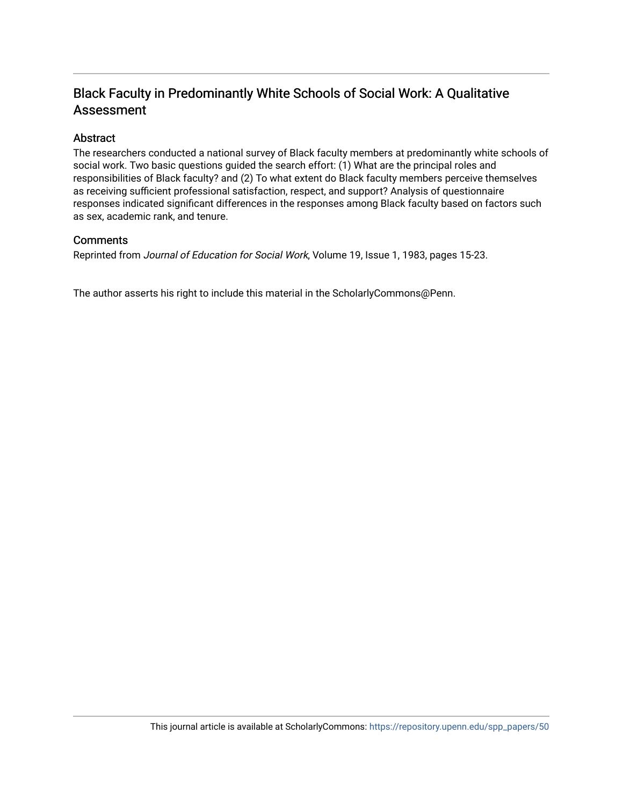# Black Faculty in Predominantly White Schools of Social Work: A Qualitative Assessment

## Abstract

The researchers conducted a national survey of Black faculty members at predominantly white schools of social work. Two basic questions guided the search effort: (1) What are the principal roles and responsibilities of Black faculty? and (2) To what extent do Black faculty members perceive themselves as receiving sufficient professional satisfaction, respect, and support? Analysis of questionnaire responses indicated significant differences in the responses among Black faculty based on factors such as sex, academic rank, and tenure.

## **Comments**

Reprinted from Journal of Education for Social Work, Volume 19, Issue 1, 1983, pages 15-23.

The author asserts his right to include this material in the ScholarlyCommons@Penn.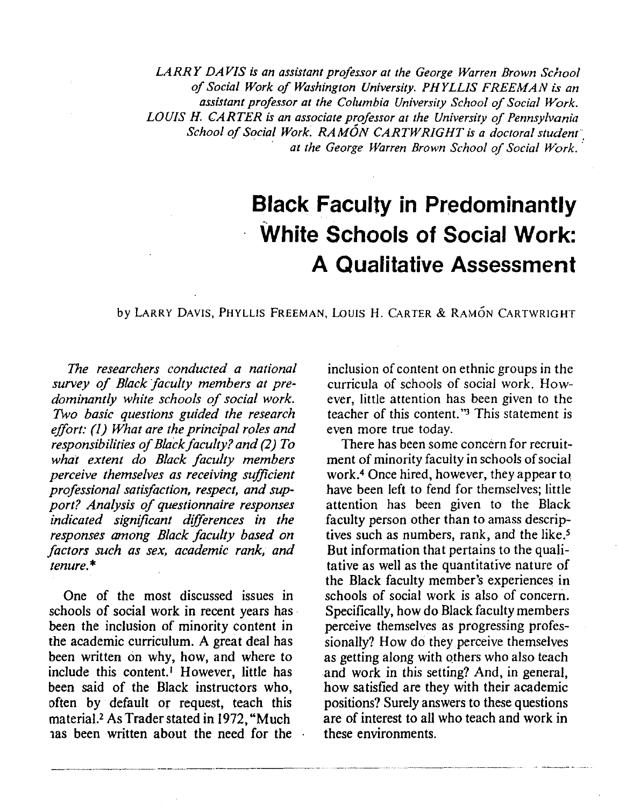LARRY DAVIS is an assistant professor at the George Warren Brown School of Social Work of Washington University. PHYLLIS FREEMAN is an assistant professor at the Columbia University School of Social Work. LOUIS H. CARTER is an associate professor at the University of Pennsylvania School of Social Work. RAMÓN CARTWRIGHT is a doctoral student at the George Warren Brown School of Social Work.

# **Black Faculty in Predominantly White Schools of Social Work: A Qualitative Assessment**

by LARRY DAVIS, PHYLLIS FREEMAN, LOUIS H. CARTER & RAMÓN CARTWRIGHT

The researchers conducted a national survey of Black faculty members at predominantly white schools of social work. Two basic questions guided the research effort:  $(1)$  What are the principal roles and responsibilities of Black faculty? and (2) To what extent do Black faculty members perceive themselves as receiving sufficient professional satisfaction, respect, and support? Analysis of questionnaire responses indicated significant differences in the responses among Black faculty based on factors such as sex, academic rank, and  $t$ enure $*$ 

One of the most discussed issues in schools of social work in recent years has been the inclusion of minority content in the academic curriculum. A great deal has been written on why, how, and where to include this content.<sup>1</sup> However, little has been said of the Black instructors who, often by default or request, teach this material.<sup>2</sup> As Trader stated in 1972. "Much as been written about the need for the

inclusion of content on ethnic groups in the curricula of schools of social work. However, little attention has been given to the teacher of this content." This statement is even more true today.

There has been some concern for recruitment of minority faculty in schools of social work.<sup>4</sup> Once hired, however, they appear to have been left to fend for themselves; little attention has been given to the Black faculty person other than to amass descriptives such as numbers, rank, and the like.<sup>5</sup> But information that pertains to the qualitative as well as the quantitative nature of the Black faculty member's experiences in schools of social work is also of concern. Specifically, how do Black faculty members perceive themselves as progressing professionally? How do they perceive themselves as getting along with others who also teach and work in this setting? And, in general, how satisfied are they with their academic positions? Surely answers to these questions are of interest to all who teach and work in these environments.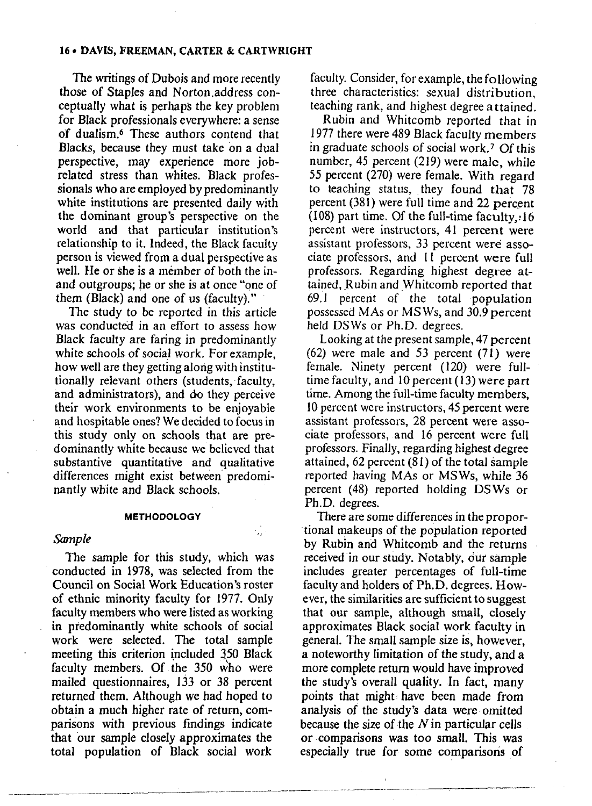#### 16 . DAVIS, FREEMAN, CARTER & CARTWRIGHT

The writings of Dubois and more recently those of Staples and Norton, address conceptually what is perhaps the key problem for Black professionals everywhere: a sense of dualism.<sup>6</sup> These authors contend that Blacks, because they must take on a dual perspective, may experience more jobrelated stress than whites. Black professionals who are employed by predominantly white institutions are presented daily with the dominant group's perspective on the world and that particular institution's relationship to it. Indeed, the Black faculty person is viewed from a dual perspective as well. He or she is a member of both the inand outgroups; he or she is at once "one of them (Black) and one of us (faculty)."

The study to be reported in this article was conducted in an effort to assess how Black faculty are faring in predominantly white schools of social work. For example, how well are they getting along with institutionally relevant others (students, faculty, and administrators), and do they perceive their work environments to be enjoyable and hospitable ones? We decided to focus in this study only on schools that are predominantly white because we believed that substantive quantitative and qualitative differences might exist between predominantly white and Black schools.

#### **METHODOLOGY**

÷.,

#### Sample

The sample for this study, which was conducted in 1978, was selected from the Council on Social Work Education's roster of ethnic minority faculty for 1977. Only faculty members who were listed as working in predominantly white schools of social work were selected. The total sample meeting this criterion included 350 Black faculty members. Of the 350 who were mailed questionnaires, 133 or 38 percent returned them. Although we had hoped to obtain a much higher rate of return, comparisons with previous findings indicate that our sample closely approximates the total population of Black social work

faculty. Consider, for example, the following three characteristics: sexual distribution. teaching rank, and highest degree attained.

Rubin and Whitcomb reported that in 1977 there were 489 Black faculty members in graduate schools of social work.<sup>7</sup> Of this number, 45 percent (219) were male, while 55 percent (270) were female. With regard to teaching status, they found that 78 percent (381) were full time and 22 percent  $(108)$  part time. Of the full-time faculty.  $16$ percent were instructors, 41 percent were assistant professors, 33 percent were associate professors, and 11 percent were full professors. Regarding highest degree attained, Rubin and Whitcomb reported that 69.1 percent of the total population possessed MAs or MSWs, and 30.9 percent held DSWs or Ph.D. degrees.

Looking at the present sample, 47 percent  $(62)$  were male and 53 percent  $(71)$  were female. Ninety percent (120) were fulltime faculty, and 10 percent (13) were part time. Among the full-time faculty members. 10 percent were instructors, 45 percent were assistant professors, 28 percent were associate professors, and 16 percent were full professors. Finally, regarding highest degree attained, 62 percent (81) of the total sample reported having MAs or MSWs, while 36 percent (48) reported holding DSWs or Ph.D. degrees.

There are some differences in the proportional makeups of the population reported by Rubin and Whitcomb and the returns received in our study. Notably, our sample includes greater percentages of full-time faculty and holders of Ph.D. degrees. However, the similarities are sufficient to suggest that our sample, although small, closely approximates Black social work faculty in general. The small sample size is, however, a noteworthy limitation of the study, and a more complete return would have improved the study's overall quality. In fact, many points that might have been made from analysis of the study's data were omitted because the size of the  $N$  in particular cells or comparisons was too small. This was especially true for some comparisons of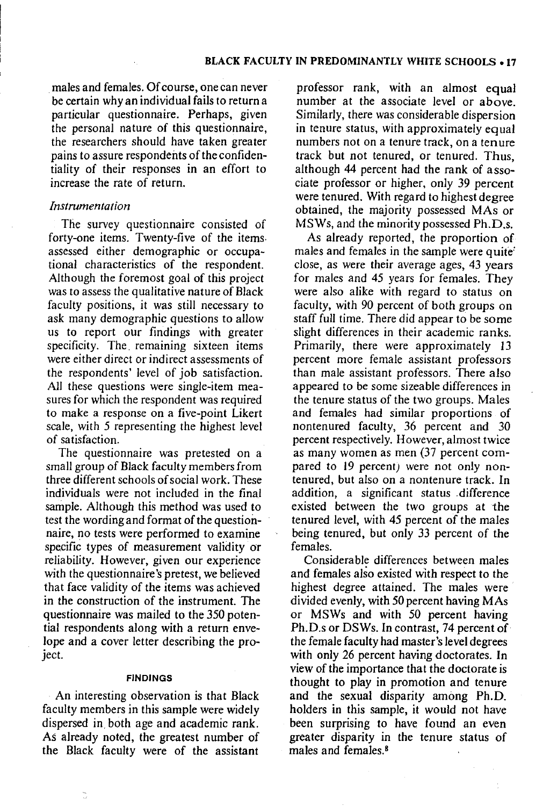males and females. Of course, one can never be certain why an individual fails to return a particular questionnaire. Perhaps, given the personal nature of this questionnaire, the researchers should have taken greater pains to assure respondents of the confidentiality of their responses in an effort to increase the rate of return.

#### Instrumentation

The survey questionnaire consisted of forty-one items. Twenty-five of the items. assessed either demographic or occupational characteristics of the respondent. Although the foremost goal of this project was to assess the qualitative nature of Black faculty positions, it was still necessary to ask many demographic questions to allow us to report our findings with greater specificity. The remaining sixteen items were either direct or indirect assessments of the respondents' level of job satisfaction. All these questions were single-item measures for which the respondent was required to make a response on a five-point Likert scale, with 5 representing the highest level of satisfaction.

The questionnaire was pretested on a small group of Black faculty members from three different schools of social work. These individuals were not included in the final sample. Although this method was used to test the wording and format of the questionnaire, no tests were performed to examine specific types of measurement validity or reliability. However, given our experience with the questionnaire's pretest, we believed that face validity of the items was achieved in the construction of the instrument. The questionnaire was mailed to the 350 potential respondents along with a return envelope and a cover letter describing the proiect.

#### **FINDINGS**

An interesting observation is that Black faculty members in this sample were widely dispersed in both age and academic rank. As already noted, the greatest number of the Black faculty were of the assistant

professor rank, with an almost equal number at the associate level or above. Similarly, there was considerable dispersion in tenure status, with approximately equal numbers not on a tenure track, on a tenure track but not tenured, or tenured. Thus, although 44 percent had the rank of associate professor or higher, only 39 percent were tenured. With regard to highest degree obtained, the majority possessed MAs or MSWs, and the minority possessed Ph.D.s.

As already reported, the proportion of males and females in the sample were quite close, as were their average ages, 43 years for males and 45 years for females. They were also alike with regard to status on faculty, with 90 percent of both groups on staff full time. There did appear to be some slight differences in their academic ranks. Primarily, there were approximately 13 percent more female assistant professors than male assistant professors. There also appeared to be some sizeable differences in the tenure status of the two groups. Males and females had similar proportions of nontenured faculty, 36 percent and 30 percent respectively. However, almost twice as many women as men (37 percent compared to 19 percent) were not only nontenured, but also on a nontenure track. In addition, a significant status difference existed between the two groups at the tenured level, with 45 percent of the males being tenured, but only 33 percent of the females.

Considerable differences between males and females also existed with respect to the highest degree attained. The males were divided evenly, with 50 percent having MAs or MSWs and with 50 percent having Ph.D.s or DSWs. In contrast, 74 percent of the female faculty had master's level degrees with only 26 percent having doctorates. In view of the importance that the doctorate is thought to play in promotion and tenure and the sexual disparity among Ph.D. holders in this sample, it would not have been surprising to have found an even greater disparity in the tenure status of males and females.<sup>8</sup>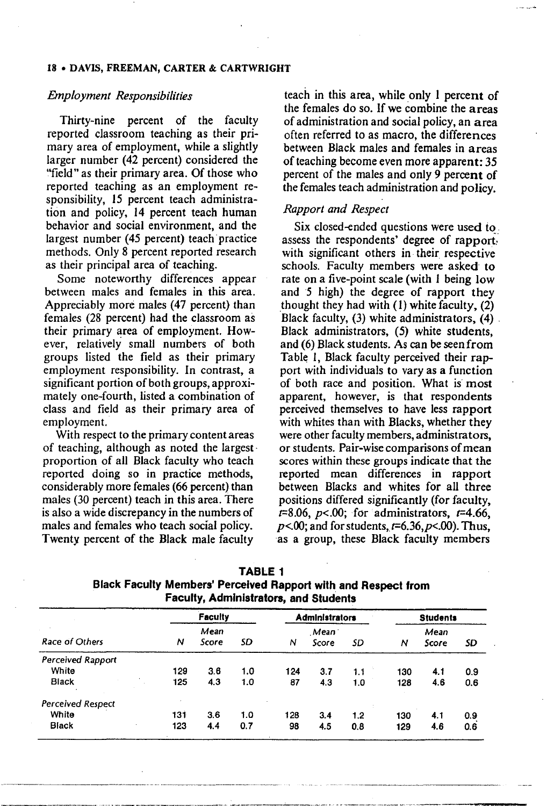#### 18 • DAVIS, FREEMAN, CARTER & CARTWRIGHT

#### **Employment Responsibilities**

Thirty-nine percent of the faculty reported classroom teaching as their primary area of employment, while a slightly larger number (42 percent) considered the "field" as their primary area. Of those who reported teaching as an employment responsibility, 15 percent teach administration and policy, 14 percent teach human behavior and social environment, and the largest number (45 percent) teach practice methods. Only 8 percent reported research as their principal area of teaching.

Some noteworthy differences appear between males and females in this area. Appreciably more males (47 percent) than females (28 percent) had the classroom as their primary area of employment. However, relatively small numbers of both groups listed the field as their primary employment responsibility. In contrast, a significant portion of both groups, approximately one-fourth, listed a combination of class and field as their primary area of employment.

With respect to the primary content areas of teaching, although as noted the largest. proportion of all Black faculty who teach reported doing so in practice methods, considerably more females (66 percent) than males (30 percent) teach in this area. There is also a wide discrepancy in the numbers of males and females who teach social policy. Twenty percent of the Black male faculty

teach in this area, while only I percent of the females do so. If we combine the areas of administration and social policy, an area often referred to as macro, the differences between Black males and females in a reas of teaching become even more apparent: 35 percent of the males and only 9 percent of the females teach administration and policy.

#### Rapport and Respect

Six closed-ended questions were used to. assess the respondents' degree of rapport. with significant others in their respective schools. Faculty members were asked to rate on a five-point scale (with I being low and 5 high) the degree of rapport they thought they had with  $(1)$  white faculty,  $(2)$ Black faculty, (3) white administrators, (4) Black administrators, (5) white students, and (6) Black students. As can be seen from Table 1, Black faculty perceived their rapport with individuals to vary as a function of both race and position. What is most apparent, however, is that respondents perceived themselves to have less rapport with whites than with Blacks, whether they were other faculty members, administrators. or students. Pair-wise comparisons of mean scores within these groups indicate that the reported mean differences in rapport between Blacks and whites for all three positions differed significantly (for faculty,  $t=8.06$ ,  $p<.00$ ; for administrators,  $t=4.66$ ,  $p<.00$ ; and for students,  $t=6.36, p<.00$ ). Thus, as a group, these Black faculty members

| Faculty, Administrators, and Students |     |     |                                   |     |     |                         |     |     |   |       |    |
|---------------------------------------|-----|-----|-----------------------------------|-----|-----|-------------------------|-----|-----|---|-------|----|
| <b>Faculty</b><br>Mean                |     |     | <b>Administrators</b><br>$Mean^2$ |     |     | <b>Students</b><br>Mean |     |     |   |       |    |
|                                       |     |     |                                   |     |     |                         |     |     | N | Score | SD |
|                                       |     |     |                                   |     |     |                         |     |     |   |       |    |
| 129                                   | 3.6 | 1.0 | 124                               | 3.7 | 1.1 | 130                     | 4.1 | 0.9 |   |       |    |
| 125                                   | 4.3 | 1.0 | 87                                | 4.3 | 1.0 | 128                     | 4.6 | 0.6 |   |       |    |
|                                       |     |     |                                   |     |     |                         |     |     |   |       |    |
| 131                                   | 3.6 | 1.0 | 128                               | 3.4 | 1.2 | 130                     | 4.1 | 0.9 |   |       |    |
| 123                                   | 4.4 | 0.7 | 98                                | 4.5 | 0.8 | 129                     | 4.6 | 0.6 |   |       |    |
|                                       |     |     |                                   |     |     |                         |     |     |   |       |    |

**TABLE 1** Black Faculty Members' Perceived Rapport with and Respect from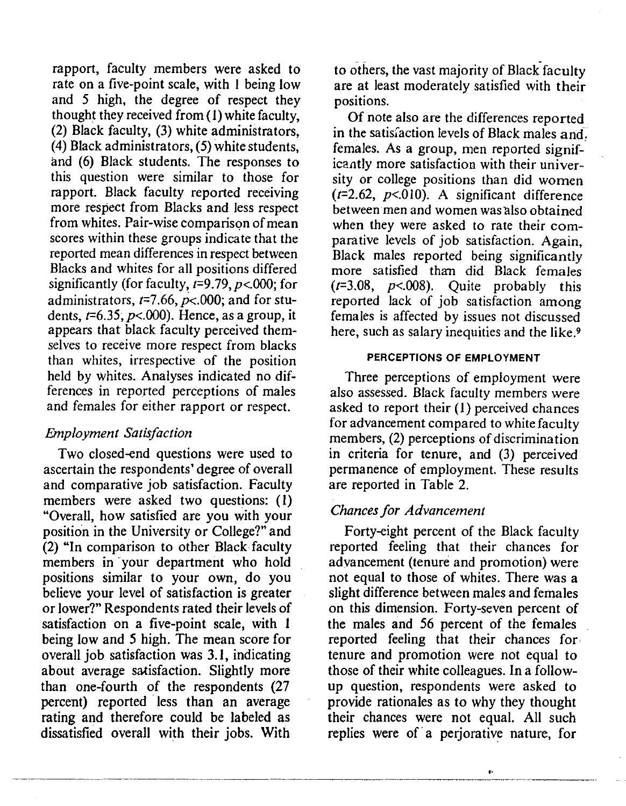rapport, faculty members were asked to rate on a five-point scale, with I being low and 5 high, the degree of respect they thought they received from (1) white faculty. (2) Black faculty, (3) white administrators, (4) Black administrators, (5) white students, and (6) Black students. The responses to this question were similar to those for rapport. Black faculty reported receiving more respect from Blacks and less respect from whites. Pair-wise comparison of mean scores within these groups indicate that the reported mean differences in respect between Blacks and whites for all positions differed significantly (for faculty,  $t=9.79$ ,  $p<.000$ ; for administrators,  $t=7.66$ ,  $p<.000$ ; and for students,  $t=6.35$ ,  $p<.000$ ). Hence, as a group, it appears that black faculty perceived themselves to receive more respect from blacks than whites, irrespective of the position held by whites. Analyses indicated no differences in reported perceptions of males and females for either rapport or respect.

#### **Employment Satisfaction**

Two closed-end questions were used to ascertain the respondents' degree of overall and comparative job satisfaction. Faculty members were asked two questions: (1) "Overall, how satisfied are you with your position in the University or College?" and (2) "In comparison to other Black faculty members in your department who hold positions similar to your own, do you believe your level of satisfaction is greater or lower?" Respondents rated their levels of satisfaction on a five-point scale, with 1 being low and 5 high. The mean score for overall job satisfaction was 3.1, indicating about average satisfaction. Slightly more than one-fourth of the respondents (27) percent) reported less than an average rating and therefore could be labeled as dissatisfied overall with their jobs. With

to others, the vast majority of Black faculty are at least moderately satisfied with their positions.

Of note also are the differences reported in the satisfaction levels of Black males and. females. As a group, men reported significantly more satisfaction with their university or college positions than did women  $(r=2.62, p<.010)$ . A significant difference between men and women was also obtained when they were asked to rate their comparative levels of job satisfaction. Again. Black males reported being significantly more satisfied than did Black females  $(r=3.08, p<.008)$ . Quite probably this reported lack of job satisfaction among females is affected by issues not discussed here, such as salary inequities and the like.<sup>9</sup>

#### PERCEPTIONS OF EMPLOYMENT

Three perceptions of employment were also assessed. Black faculty members were asked to report their (1) perceived chances for advancement compared to white faculty members, (2) perceptions of discrimination in criteria for tenure, and (3) perceived permanence of employment. These results are reported in Table 2.

#### Chances for Advancement

Forty-eight percent of the Black faculty reported feeling that their chances for advancement (tenure and promotion) were not equal to those of whites. There was a slight difference between males and females on this dimension. Forty-seven percent of the males and 56 percent of the females reported feeling that their chances for tenure and promotion were not equal to those of their white colleagues. In a followup question, respondents were asked to provide rationales as to why they thought their chances were not equal. All such replies were of a periorative nature, for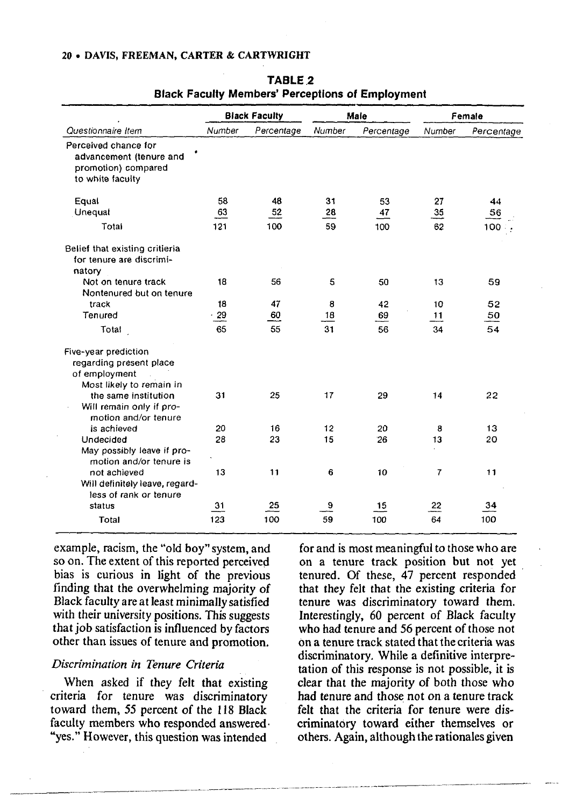#### 20 • DAVIS, FREEMAN, CARTER & CARTWRIGHT

|                                                                                                                                                  | <b>Black Faculty</b> |            |        | Male           | Female         |            |  |
|--------------------------------------------------------------------------------------------------------------------------------------------------|----------------------|------------|--------|----------------|----------------|------------|--|
| Questionnaire Item                                                                                                                               | Number               | Percentage | Number | Percentage     | Number         | Percentage |  |
| Perceived chance for<br>advancement (tenure and<br>promotion) compared<br>to white faculty                                                       |                      |            |        |                |                |            |  |
| Equal                                                                                                                                            | 58                   | 48         | 31     | 53             | 27             | 44         |  |
| Unequal                                                                                                                                          | $\frac{63}{5}$       | 52         | 28     | 47             | 35             | 56         |  |
| Total                                                                                                                                            | 121                  | 100        | 59     | 100            | 62             | 100        |  |
| Belief that existing critieria<br>for tenure are discrimi-<br>natory                                                                             |                      |            |        |                |                |            |  |
| Not on tenure track<br>Nontenured but on tenure                                                                                                  | 18                   | 56         | 5      | 50             | 13             | 59         |  |
| track                                                                                                                                            | 18                   | 47         | 8      | 42             | 10             | 52         |  |
| Tenured                                                                                                                                          | $\frac{29}{2}$       | 60         | 18     | 69             | 11             | 50         |  |
| Total                                                                                                                                            | 65                   | 55         | 31     | 56             | 34             | 54         |  |
| Five-year prediction<br>regarding present place<br>of employment<br>Most likely to remain in<br>the same institution<br>Will remain only if pro- | 31                   | 25         | 17     | 29             | 14             | 22         |  |
| motion and/or tenure                                                                                                                             |                      |            |        |                |                |            |  |
| is achieved                                                                                                                                      | 20                   | 16         | 12     | 20             | 8              | 13         |  |
| Undecided                                                                                                                                        | 28                   | 23         | 15     | 26             | 13             | 20         |  |
| May possibly leave if pro-<br>motion and/or tenure is<br>not achieved<br>Will definitely leave, regard-                                          | 13                   | 11         | 6      | 10             | $\overline{7}$ | 11         |  |
| less of rank or tenure                                                                                                                           |                      |            |        |                |                |            |  |
| status                                                                                                                                           | 31                   | 25         | 9      | $\frac{15}{1}$ | 22             | 34         |  |
| Total                                                                                                                                            | 123                  | 100        | 59     | 100            | 64             | 100        |  |

TABLE<sub>2</sub> **Black Faculty Members' Perceptions of Employment** 

example, racism, the "old boy" system, and so on. The extent of this reported perceived bias is curious in light of the previous finding that the overwhelming majority of Black faculty are at least minimally satisfied with their university positions. This suggests that job satisfaction is influenced by factors other than issues of tenure and promotion.

#### Discrimination in Tenure Criteria

When asked if they felt that existing criteria for tenure was discriminatory toward them, 55 percent of the 118 Black faculty members who responded answered. "yes." However, this question was intended

for and is most meaningful to those who are on a tenure track position but not yet tenured. Of these, 47 percent responded that they felt that the existing criteria for tenure was discriminatory toward them. Interestingly, 60 percent of Black faculty who had tenure and 56 percent of those not on a tenure track stated that the criteria was discriminatory. While a definitive interpretation of this response is not possible, it is clear that the majority of both those who had tenure and those not on a tenure track felt that the criteria for tenure were discriminatory toward either themselves or others. Again, although the rationales given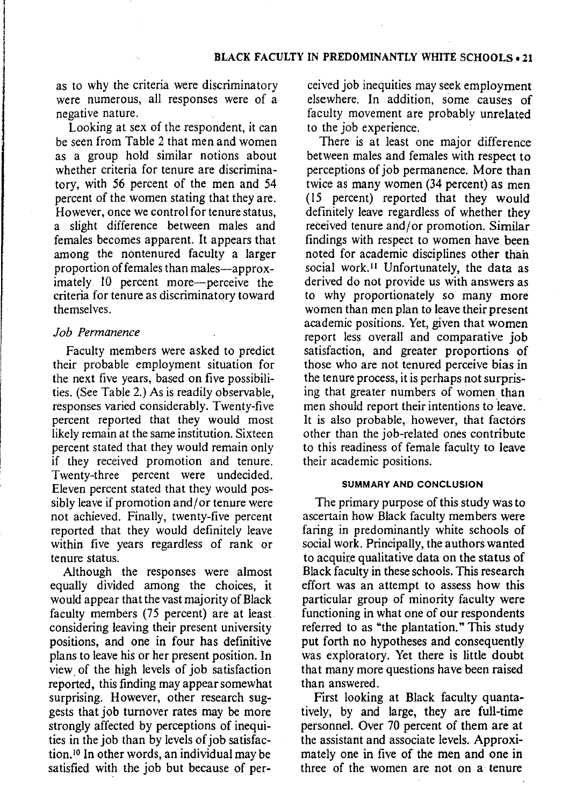as to why the criteria were discriminatory were numerous, all responses were of a negative nature.

Looking at sex of the respondent, it can be seen from Table 2 that men and women as a group hold similar notions about whether criteria for tenure are discriminatory, with 56 percent of the men and 54 percent of the women stating that they are. However, once we control for tenure status, a slight difference between males and females becomes apparent. It appears that among the nontenured faculty a larger proportion of females than males—approximately 10 percent more—perceive the criteria for tenure as discriminatory toward themselves.

#### Job Permanence

Faculty members were asked to predict their probable employment situation for the next five years, based on five possibilities. (See Table 2.) As is readily observable, responses varied considerably. Twenty-five percent reported that they would most likely remain at the same institution. Sixteen percent stated that they would remain only if they received promotion and tenure. Twenty-three percent were undecided. Eleven percent stated that they would possibly leave if promotion and/or tenure were not achieved. Finally, twenty-five percent reported that they would definitely leave within five years regardless of rank or tenure status.

Although the responses were almost equally divided among the choices, it would appear that the vast majority of Black faculty members (75 percent) are at least. considering leaving their present university positions, and one in four has definitive plans to leave his or her present position. In view of the high levels of job satisfaction reported, this finding may appear somewhat surprising. However, other research suggests that job turnover rates may be more strongly affected by perceptions of inequities in the job than by levels of job satisfaction.<sup>10</sup> In other words, an individual may be satisfied with the job but because of perceived job inequities may seek employment elsewhere. In addition, some causes of faculty movement are probably unrelated to the job experience.

There is at least one major difference between males and females with respect to perceptions of job permanence. More than twice as many women (34 percent) as men (15 percent) reported that they would definitely leave regardless of whether they received tenure and/or promotion. Similar findings with respect to women have been noted for academic disciplines other than social work.<sup>11</sup> Unfortunately, the data as derived do not provide us with answers as to why proportionately so many more women than men plan to leave their present academic positions. Yet, given that women report less overall and comparative job satisfaction, and greater proportions of those who are not tenured perceive bias in the tenure process, it is perhaps not surprising that greater numbers of women than men should report their intentions to leave. It is also probable, however, that factors other than the job-related ones contribute to this readiness of female faculty to leave their academic positions.

#### **SUMMARY AND CONCLUSION**

The primary purpose of this study was to ascertain how Black faculty members were faring in predominantly white schools of social work. Principally, the authors wanted to acquire qualitative data on the status of Black faculty in these schools. This research effort was an attempt to assess how this particular group of minority faculty were functioning in what one of our respondents referred to as "the plantation." This study put forth no hypotheses and consequently was exploratory. Yet there is little doubt that many more questions have been raised than answered.

First looking at Black faculty quantatively, by and large, they are full-time personnel. Over 70 percent of them are at the assistant and associate levels. Approximately one in five of the men and one in three of the women are not on a tenure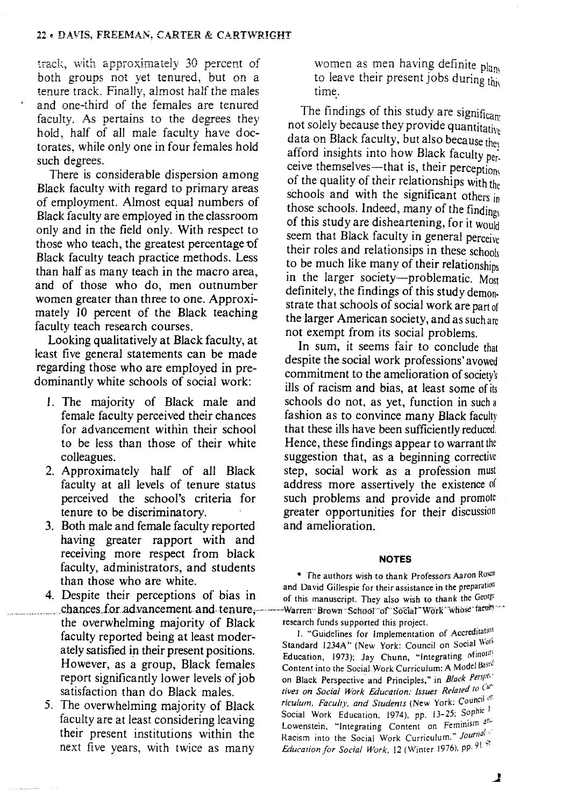track, with approximately 30 percent of both groups not yet tenured, but on a tenure track. Finally, almost half the males and one-third of the females are tenured faculty. As pertains to the degrees they hold, half of all male faculty have doctorates, while only one in four females hold such degrees.

There is considerable dispersion among Black faculty with regard to primary areas of employment. Almost equal numbers of Black faculty are employed in the classroom only and in the field only. With respect to those who teach, the greatest percentage of Black faculty teach practice methods. Less than half as many teach in the macro area. and of those who do, men outnumber women greater than three to one. Approximately 10 percent of the Black teaching faculty teach research courses.

Looking qualitatively at Black faculty, at least five general statements can be made regarding those who are employed in predominantly white schools of social work:

- 1. The majority of Black male and female faculty perceived their chances for advancement within their school to be less than those of their white colleagues.
- 2. Approximately half of all Black faculty at all levels of tenure status perceived the school's criteria for tenure to be discriminatory.
- 3. Both male and female faculty reported having greater rapport with and receiving more respect from black faculty, administrators, and students than those who are white.
- 4. Despite their perceptions of bias in chances for advancement and tenure, the overwhelming majority of Black faculty reported being at least moderately satisfied in their present positions. However, as a group, Black females report significantly lower levels of job satisfaction than do Black males.
- 5. The overwhelming majority of Black faculty are at least considering leaving their present institutions within the next five years, with twice as many

women as men having definite plane to leave their present jobs during this time.

The findings of this study are significant not solely because they provide quantitative data on Black faculty, but also because they afford insights into how Black faculty per. ceive themselves-that is, their perceptions of the quality of their relationships with the schools and with the significant others in those schools. Indeed, many of the findings of this study are disheartening, for it would seem that Black faculty in general perceive their roles and relationsips in these schools to be much like many of their relationshins in the larger society-problematic. Most definitely, the findings of this study demonstrate that schools of social work are part of the larger American society, and as such are not exempt from its social problems.

In sum, it seems fair to conclude that despite the social work professions' avowed commitment to the amelioration of society's ills of racism and bias, at least some of its schools do not, as yet, function in such a fashion as to convince many Black faculty that these ills have been sufficiently reduced. Hence, these findings appear to warrant the suggestion that, as a beginning corrective step, social work as a profession must address more assertively the existence of such problems and provide and promote greater opportunities for their discussion and amelioration.

#### **NOTES**

\* The authors wish to thank Professors Aaron Rosen and David Gillespie for their assistance in the preparation of this manuscript. They also wish to thank the George "Warren Brown School" of "Social" Work "whose faculty research funds supported this project.

1. "Guidelines for Implementation of Accreditation Standard 1234A" (New York: Council on Social Work Education, 1973); Jay Chunn, "Integrating Minoral Content into the Social Work Curriculum: A Model Based on Black Perspective and Principles," in Black Perspect tives on Social Work Education: Issues Related to Curriculum, Faculty, and Students (New York: Council on Social Work Education, 1974), pp. 13-25; Sophie h Lowenstein, "Integrating Content on Feminism and Racism into the Social Work Curriculum." Journal *Education for Social Work*, 12 (Winter 1976), pp. 91  $\frac{1}{2}$